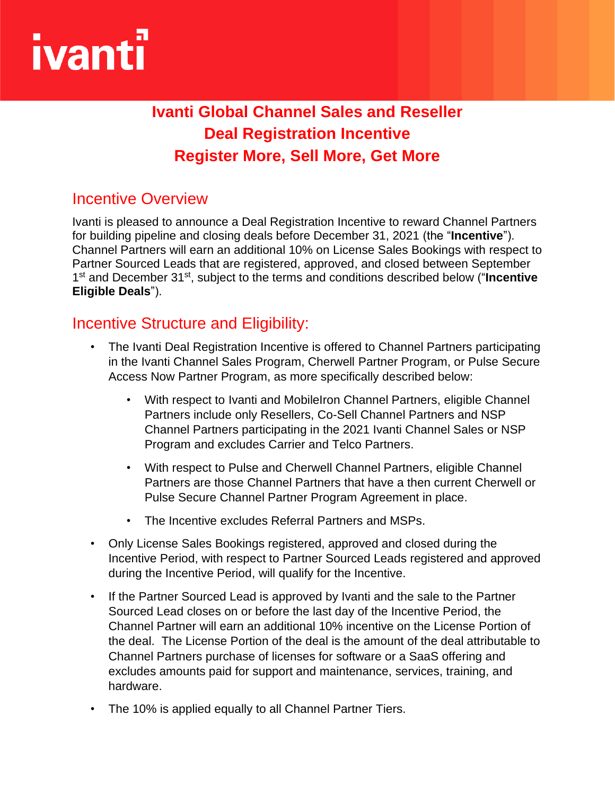# ivant

# **Ivanti Global Channel Sales and Reseller Deal Registration Incentive Register More, Sell More, Get More**

## Incentive Overview

Ivanti is pleased to announce a Deal Registration Incentive to reward Channel Partners for building pipeline and closing deals before December 31, 2021 (the "**Incentive**"). Channel Partners will earn an additional 10% on License Sales Bookings with respect to Partner Sourced Leads that are registered, approved, and closed between September 1<sup>st</sup> and December 31<sup>st</sup>, subject to the terms and conditions described below ("**Incentive Eligible Deals**").

### Incentive Structure and Eligibility:

- The Ivanti Deal Registration Incentive is offered to Channel Partners participating in the Ivanti Channel Sales Program, Cherwell Partner Program, or Pulse Secure Access Now Partner Program, as more specifically described below:
	- With respect to Ivanti and MobileIron Channel Partners, eligible Channel Partners include only Resellers, Co-Sell Channel Partners and NSP Channel Partners participating in the 2021 Ivanti Channel Sales or NSP Program and excludes Carrier and Telco Partners.
	- With respect to Pulse and Cherwell Channel Partners, eligible Channel Partners are those Channel Partners that have a then current Cherwell or Pulse Secure Channel Partner Program Agreement in place.
	- The Incentive excludes Referral Partners and MSPs.
- Only License Sales Bookings registered, approved and closed during the Incentive Period, with respect to Partner Sourced Leads registered and approved during the Incentive Period, will qualify for the Incentive.
- If the Partner Sourced Lead is approved by Ivanti and the sale to the Partner Sourced Lead closes on or before the last day of the Incentive Period, the Channel Partner will earn an additional 10% incentive on the License Portion of the deal. The License Portion of the deal is the amount of the deal attributable to Channel Partners purchase of licenses for software or a SaaS offering and excludes amounts paid for support and maintenance, services, training, and hardware.
- The 10% is applied equally to all Channel Partner Tiers.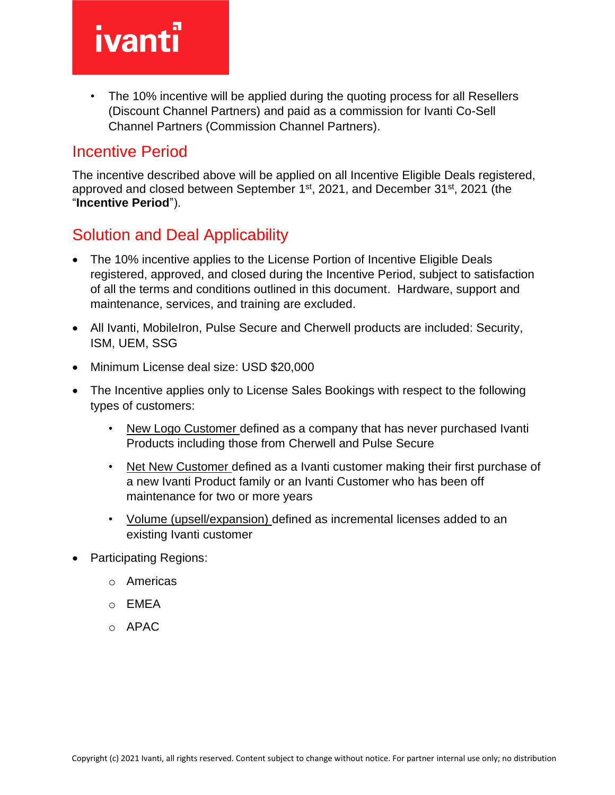# **ivanti**

• The 10% incentive will be applied during the quoting process for all Resellers (Discount Channel Partners) and paid as a commission for Ivanti Co-Sell Channel Partners (Commission Channel Partners).

#### Incentive Period

The incentive described above will be applied on all Incentive Eligible Deals registered, approved and closed between September 1st, 2021, and December 31st, 2021 (the "**Incentive Period**").

# Solution and Deal Applicability

- The 10% incentive applies to the License Portion of Incentive Eligible Deals registered, approved, and closed during the Incentive Period, subject to satisfaction of all the terms and conditions outlined in this document. Hardware, support and maintenance, services, and training are excluded.
- All Ivanti, MobileIron, Pulse Secure and Cherwell products are included: Security, ISM, UEM, SSG
- Minimum License deal size: USD \$20,000
- The Incentive applies only to License Sales Bookings with respect to the following types of customers:
	- New Logo Customer defined as a company that has never purchased Ivanti Products including those from Cherwell and Pulse Secure
	- Net New Customer defined as a Ivanti customer making their first purchase of a new Ivanti Product family or an Ivanti Customer who has been off maintenance for two or more years
	- Volume (upsell/expansion) defined as incremental licenses added to an existing Ivanti customer
- Participating Regions:
	- o Americas
	- o EMEA
	- $O$  APAC